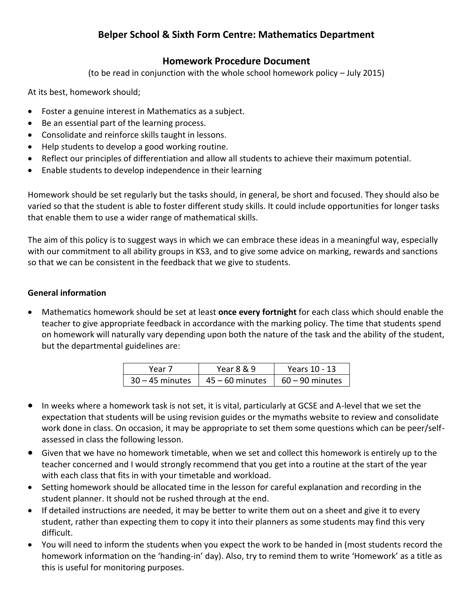# **Belper School & Sixth Form Centre: Mathematics Department**

# **Homework Procedure Document**

(to be read in conjunction with the whole school homework policy – July 2015)

At its best, homework should;

- Foster a genuine interest in Mathematics as a subject.
- Be an essential part of the learning process.
- Consolidate and reinforce skills taught in lessons.
- Help students to develop a good working routine.
- Reflect our principles of differentiation and allow all students to achieve their maximum potential.
- Enable students to develop independence in their learning

Homework should be set regularly but the tasks should, in general, be short and focused. They should also be varied so that the student is able to foster different study skills. It could include opportunities for longer tasks that enable them to use a wider range of mathematical skills.

The aim of this policy is to suggest ways in which we can embrace these ideas in a meaningful way, especially with our commitment to all ability groups in KS3, and to give some advice on marking, rewards and sanctions so that we can be consistent in the feedback that we give to students.

#### **General information**

 Mathematics homework should be set at least **once every fortnight** for each class which should enable the teacher to give appropriate feedback in accordance with the marking policy. The time that students spend on homework will naturally vary depending upon both the nature of the task and the ability of the student, but the departmental guidelines are:

| Year 7            | Year 8 & 9        | Years 10 - 13     |
|-------------------|-------------------|-------------------|
| $30 - 45$ minutes | $45 - 60$ minutes | $60 - 90$ minutes |

- In weeks where a homework task is not set, it is vital, particularly at GCSE and A-level that we set the expectation that students will be using revision guides or the mymaths website to review and consolidate work done in class. On occasion, it may be appropriate to set them some questions which can be peer/selfassessed in class the following lesson.
- Given that we have no homework timetable, when we set and collect this homework is entirely up to the teacher concerned and I would strongly recommend that you get into a routine at the start of the year with each class that fits in with your timetable and workload.
- Setting homework should be allocated time in the lesson for careful explanation and recording in the student planner. It should not be rushed through at the end.
- If detailed instructions are needed, it may be better to write them out on a sheet and give it to every student, rather than expecting them to copy it into their planners as some students may find this very difficult.
- You will need to inform the students when you expect the work to be handed in (most students record the homework information on the 'handing-in' day). Also, try to remind them to write 'Homework' as a title as this is useful for monitoring purposes.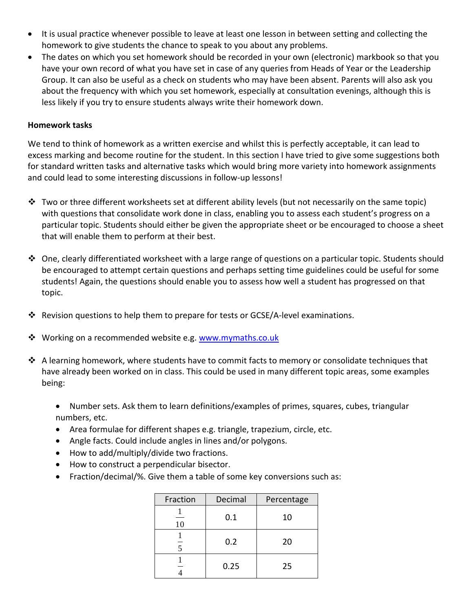- It is usual practice whenever possible to leave at least one lesson in between setting and collecting the homework to give students the chance to speak to you about any problems.
- The dates on which you set homework should be recorded in your own (electronic) markbook so that you have your own record of what you have set in case of any queries from Heads of Year or the Leadership Group. It can also be useful as a check on students who may have been absent. Parents will also ask you about the frequency with which you set homework, especially at consultation evenings, although this is less likely if you try to ensure students always write their homework down.

#### **Homework tasks**

We tend to think of homework as a written exercise and whilst this is perfectly acceptable, it can lead to excess marking and become routine for the student. In this section I have tried to give some suggestions both for standard written tasks and alternative tasks which would bring more variety into homework assignments and could lead to some interesting discussions in follow-up lessons!

- Two or three different worksheets set at different ability levels (but not necessarily on the same topic) with questions that consolidate work done in class, enabling you to assess each student's progress on a particular topic. Students should either be given the appropriate sheet or be encouraged to choose a sheet that will enable them to perform at their best.
- One, clearly differentiated worksheet with a large range of questions on a particular topic. Students should be encouraged to attempt certain questions and perhaps setting time guidelines could be useful for some students! Again, the questions should enable you to assess how well a student has progressed on that topic.
- Revision questions to help them to prepare for tests or GCSE/A-level examinations.
- **\*** Working on a recommended website e.g. [www.mymaths.co.uk](http://www.mymaths.co.uk/)
- ❖ A learning homework, where students have to commit facts to memory or consolidate techniques that have already been worked on in class. This could be used in many different topic areas, some examples being:
	- Number sets. Ask them to learn definitions/examples of primes, squares, cubes, triangular numbers, etc.
	- Area formulae for different shapes e.g. triangle, trapezium, circle, etc.
	- Angle facts. Could include angles in lines and/or polygons.
	- How to add/multiply/divide two fractions.
	- How to construct a perpendicular bisector.
	- Fraction/decimal/%. Give them a table of some key conversions such as:

| Fraction | Decimal | Percentage |
|----------|---------|------------|
| 10       | 0.1     | 10         |
|          | 0.2     | 20         |
|          | 0.25    | 25         |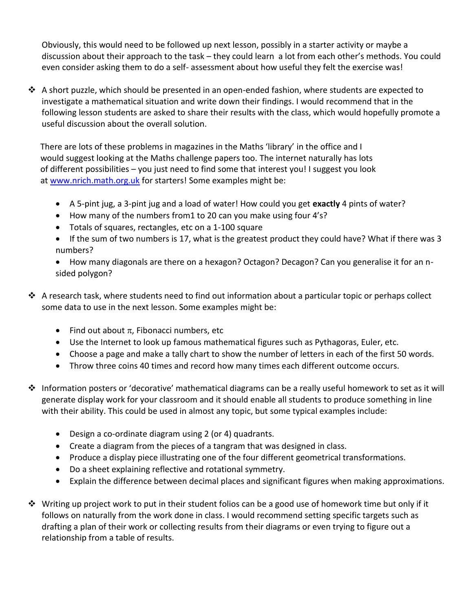Obviously, this would need to be followed up next lesson, possibly in a starter activity or maybe a discussion about their approach to the task – they could learn a lot from each other's methods. You could even consider asking them to do a self- assessment about how useful they felt the exercise was!

 $\triangle$  A short puzzle, which should be presented in an open-ended fashion, where students are expected to investigate a mathematical situation and write down their findings. I would recommend that in the following lesson students are asked to share their results with the class, which would hopefully promote a useful discussion about the overall solution.

 There are lots of these problems in magazines in the Maths 'library' in the office and I would suggest looking at the Maths challenge papers too. The internet naturally has lots of different possibilities – you just need to find some that interest you! I suggest you look at [www.nrich.math.org.uk](http://www.nrich.math.org.uk/) for starters! Some examples might be:

- A 5-pint jug, a 3-pint jug and a load of water! How could you get **exactly** 4 pints of water?
- How many of the numbers from1 to 20 can you make using four 4's?
- Totals of squares, rectangles, etc on a 1-100 square
- If the sum of two numbers is 17, what is the greatest product they could have? What if there was 3 numbers?
- How many diagonals are there on a hexagon? Octagon? Decagon? Can you generalise it for an nsided polygon?
- $\clubsuit$  A research task, where students need to find out information about a particular topic or perhaps collect some data to use in the next lesson. Some examples might be:
	- Find out about  $\pi$ , Fibonacci numbers, etc
	- Use the Internet to look up famous mathematical figures such as Pythagoras, Euler, etc.
	- Choose a page and make a tally chart to show the number of letters in each of the first 50 words.
	- Throw three coins 40 times and record how many times each different outcome occurs.
- Information posters or 'decorative' mathematical diagrams can be a really useful homework to set as it will generate display work for your classroom and it should enable all students to produce something in line with their ability. This could be used in almost any topic, but some typical examples include:
	- Design a co-ordinate diagram using 2 (or 4) quadrants.
	- Create a diagram from the pieces of a tangram that was designed in class.
	- Produce a display piece illustrating one of the four different geometrical transformations.
	- Do a sheet explaining reflective and rotational symmetry.
	- Explain the difference between decimal places and significant figures when making approximations.
- $\clubsuit$  Writing up project work to put in their student folios can be a good use of homework time but only if it follows on naturally from the work done in class. I would recommend setting specific targets such as drafting a plan of their work or collecting results from their diagrams or even trying to figure out a relationship from a table of results.